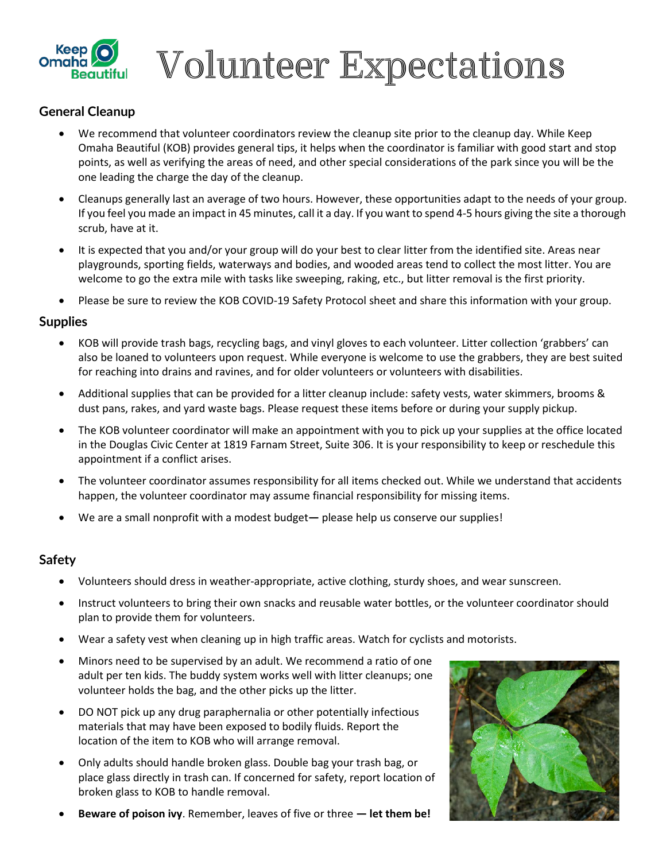

 $\mathbb{Z}_{\text{\tiny{B}}^{\text{\tiny{N}}}}$  Volunteer Expectations

# **General Cleanup**

- We recommend that volunteer coordinators review the cleanup site prior to the cleanup day. While Keep Omaha Beautiful (KOB) provides general tips, it helps when the coordinator is familiar with good start and stop points, as well as verifying the areas of need, and other special considerations of the park since you will be the one leading the charge the day of the cleanup.
- Cleanups generally last an average of two hours. However, these opportunities adapt to the needs of your group. If you feel you made an impact in 45 minutes, call it a day. If you want to spend 4-5 hours giving the site a thorough scrub, have at it.
- It is expected that you and/or your group will do your best to clear litter from the identified site. Areas near playgrounds, sporting fields, waterways and bodies, and wooded areas tend to collect the most litter. You are welcome to go the extra mile with tasks like sweeping, raking, etc., but litter removal is the first priority.
- Please be sure to review the KOB COVID-19 Safety Protocol sheet and share this information with your group.

### **Supplies**

- KOB will provide trash bags, recycling bags, and vinyl gloves to each volunteer. Litter collection 'grabbers' can also be loaned to volunteers upon request. While everyone is welcome to use the grabbers, they are best suited for reaching into drains and ravines, and for older volunteers or volunteers with disabilities.
- Additional supplies that can be provided for a litter cleanup include: safety vests, water skimmers, brooms & dust pans, rakes, and yard waste bags. Please request these items before or during your supply pickup.
- The KOB volunteer coordinator will make an appointment with you to pick up your supplies at the office located in the Douglas Civic Center at 1819 Farnam Street, Suite 306. It is your responsibility to keep or reschedule this appointment if a conflict arises.
- The volunteer coordinator assumes responsibility for all items checked out. While we understand that accidents happen, the volunteer coordinator may assume financial responsibility for missing items.
- We are a small nonprofit with a modest budget**—** please help us conserve our supplies!

### **Safety**

- Volunteers should dress in weather-appropriate, active clothing, sturdy shoes, and wear sunscreen.
- Instruct volunteers to bring their own snacks and reusable water bottles, or the volunteer coordinator should plan to provide them for volunteers.
- Wear a safety vest when cleaning up in high traffic areas. Watch for cyclists and motorists.
- Minors need to be supervised by an adult. We recommend a ratio of one adult per ten kids. The buddy system works well with litter cleanups; one volunteer holds the bag, and the other picks up the litter.
- DO NOT pick up any drug paraphernalia or other potentially infectious materials that may have been exposed to bodily fluids. Report the location of the item to KOB who will arrange removal.
- Only adults should handle broken glass. Double bag your trash bag, or place glass directly in trash can. If concerned for safety, report location of broken glass to KOB to handle removal.
- **Beware of poison ivy**. Remember, leaves of five or three  **let them be!**